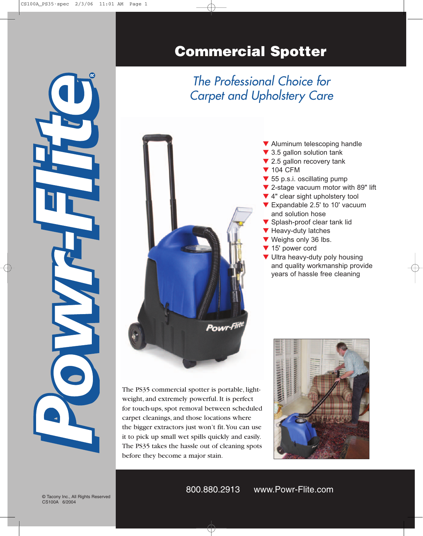

## **Commercial Spotter**

## *The Professional Choice for Carpet and Upholstery Care*



The PS35 commercial spotter is portable, lightweight, and extremely powerful. It is perfect for touch-ups, spot removal between scheduled carpet cleanings, and those locations where the bigger extractors just won't fit.You can use it to pick up small wet spills quickly and easily. The PS35 takes the hassle out of cleaning spots before they become a major stain.

- **▼** Aluminum telescoping handle
- **▼** 3.5 gallon solution tank
- **▼** 2.5 gallon recovery tank
- **▼** 104 CFM
- **▼** 55 p.s.i. oscillating pump
- **▼** 2-stage vacuum motor with 89" lift
- **▼** 4" clear sight upholstery tool
- **▼** Expandable 2.5' to 10' vacuum and solution hose
- **▼** Splash-proof clear tank lid
- **▼** Heavy-duty latches
- **▼** Weighs only 36 lbs.
- **▼** 15' power cord
- **▼** Ultra heavy-duty poly housing and quality workmanship provide years of hassle free cleaning